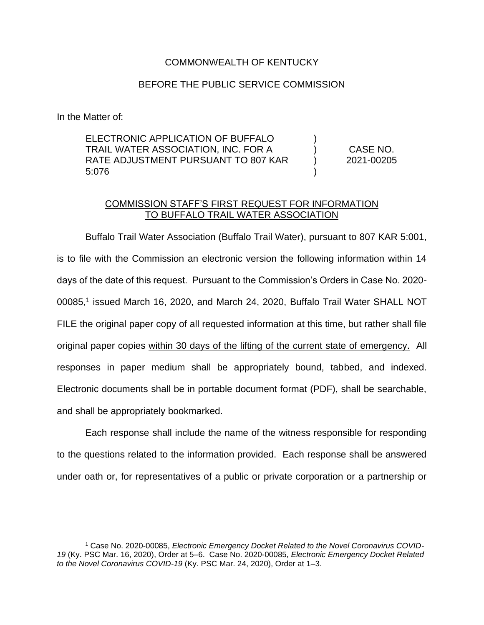## COMMONWEALTH OF KENTUCKY

## BEFORE THE PUBLIC SERVICE COMMISSION

In the Matter of:

ELECTRONIC APPLICATION OF BUFFALO TRAIL WATER ASSOCIATION, INC. FOR A RATE ADJUSTMENT PURSUANT TO 807 KAR 5:076 ) ) ) ) CASE NO. 2021-00205

## COMMISSION STAFF'S FIRST REQUEST FOR INFORMATION TO BUFFALO TRAIL WATER ASSOCIATION

Buffalo Trail Water Association (Buffalo Trail Water), pursuant to 807 KAR 5:001, is to file with the Commission an electronic version the following information within 14 days of the date of this request. Pursuant to the Commission's Orders in Case No. 2020- 00085,<sup>1</sup> issued March 16, 2020, and March 24, 2020, Buffalo Trail Water SHALL NOT FILE the original paper copy of all requested information at this time, but rather shall file original paper copies within 30 days of the lifting of the current state of emergency. All responses in paper medium shall be appropriately bound, tabbed, and indexed. Electronic documents shall be in portable document format (PDF), shall be searchable, and shall be appropriately bookmarked.

Each response shall include the name of the witness responsible for responding to the questions related to the information provided. Each response shall be answered under oath or, for representatives of a public or private corporation or a partnership or

<sup>1</sup> Case No. 2020-00085, *Electronic Emergency Docket Related to the Novel Coronavirus COVID-19* (Ky. PSC Mar. 16, 2020), Order at 5–6. Case No. 2020-00085, *Electronic Emergency Docket Related to the Novel Coronavirus COVID-19* (Ky. PSC Mar. 24, 2020), Order at 1–3.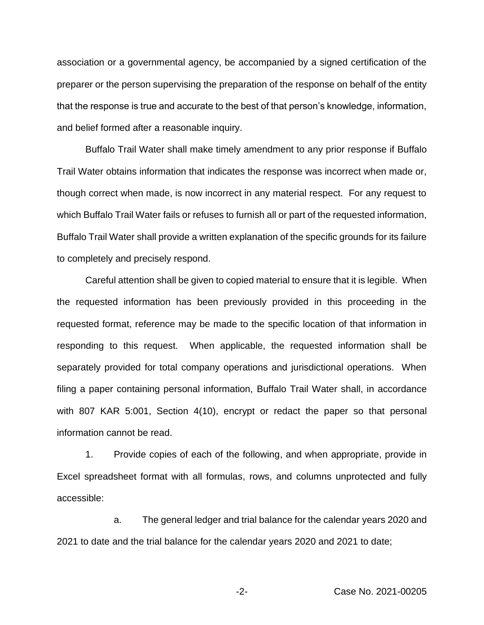association or a governmental agency, be accompanied by a signed certification of the preparer or the person supervising the preparation of the response on behalf of the entity that the response is true and accurate to the best of that person's knowledge, information, and belief formed after a reasonable inquiry.

Buffalo Trail Water shall make timely amendment to any prior response if Buffalo Trail Water obtains information that indicates the response was incorrect when made or, though correct when made, is now incorrect in any material respect. For any request to which Buffalo Trail Water fails or refuses to furnish all or part of the requested information, Buffalo Trail Water shall provide a written explanation of the specific grounds for its failure to completely and precisely respond.

Careful attention shall be given to copied material to ensure that it is legible. When the requested information has been previously provided in this proceeding in the requested format, reference may be made to the specific location of that information in responding to this request. When applicable, the requested information shall be separately provided for total company operations and jurisdictional operations. When filing a paper containing personal information, Buffalo Trail Water shall, in accordance with 807 KAR 5:001, Section 4(10), encrypt or redact the paper so that personal information cannot be read.

1. Provide copies of each of the following, and when appropriate, provide in Excel spreadsheet format with all formulas, rows, and columns unprotected and fully accessible:

a. The general ledger and trial balance for the calendar years 2020 and 2021 to date and the trial balance for the calendar years 2020 and 2021 to date;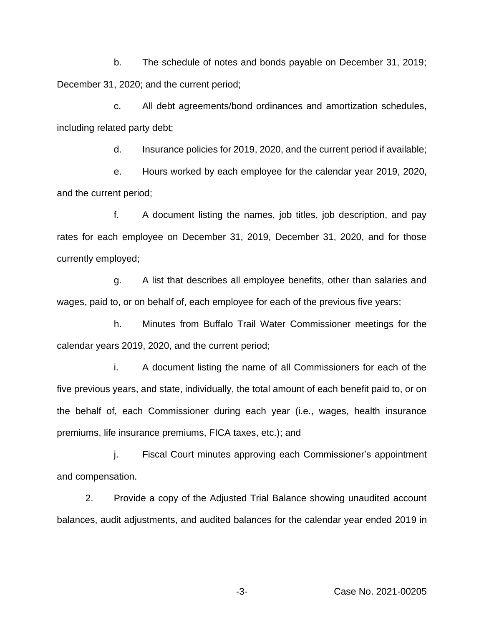b. The schedule of notes and bonds payable on December 31, 2019; December 31, 2020; and the current period;

c. All debt agreements/bond ordinances and amortization schedules, including related party debt;

d. Insurance policies for 2019, 2020, and the current period if available;

e. Hours worked by each employee for the calendar year 2019, 2020, and the current period;

f. A document listing the names, job titles, job description, and pay rates for each employee on December 31, 2019, December 31, 2020, and for those currently employed;

g. A list that describes all employee benefits, other than salaries and wages, paid to, or on behalf of, each employee for each of the previous five years;

h. Minutes from Buffalo Trail Water Commissioner meetings for the calendar years 2019, 2020, and the current period;

i. A document listing the name of all Commissioners for each of the five previous years, and state, individually, the total amount of each benefit paid to, or on the behalf of, each Commissioner during each year (i.e., wages, health insurance premiums, life insurance premiums, FICA taxes, etc.); and

j. Fiscal Court minutes approving each Commissioner's appointment and compensation.

2. Provide a copy of the Adjusted Trial Balance showing unaudited account balances, audit adjustments, and audited balances for the calendar year ended 2019 in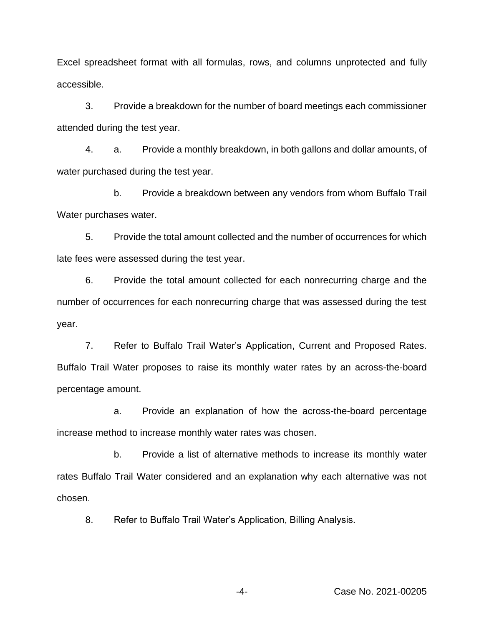Excel spreadsheet format with all formulas, rows, and columns unprotected and fully accessible.

3. Provide a breakdown for the number of board meetings each commissioner attended during the test year.

4. a. Provide a monthly breakdown, in both gallons and dollar amounts, of water purchased during the test year.

b. Provide a breakdown between any vendors from whom Buffalo Trail Water purchases water.

5. Provide the total amount collected and the number of occurrences for which late fees were assessed during the test year.

6. Provide the total amount collected for each nonrecurring charge and the number of occurrences for each nonrecurring charge that was assessed during the test year.

7. Refer to Buffalo Trail Water's Application, Current and Proposed Rates. Buffalo Trail Water proposes to raise its monthly water rates by an across-the-board percentage amount.

a. Provide an explanation of how the across-the-board percentage increase method to increase monthly water rates was chosen.

b. Provide a list of alternative methods to increase its monthly water rates Buffalo Trail Water considered and an explanation why each alternative was not chosen.

8. Refer to Buffalo Trail Water's Application, Billing Analysis.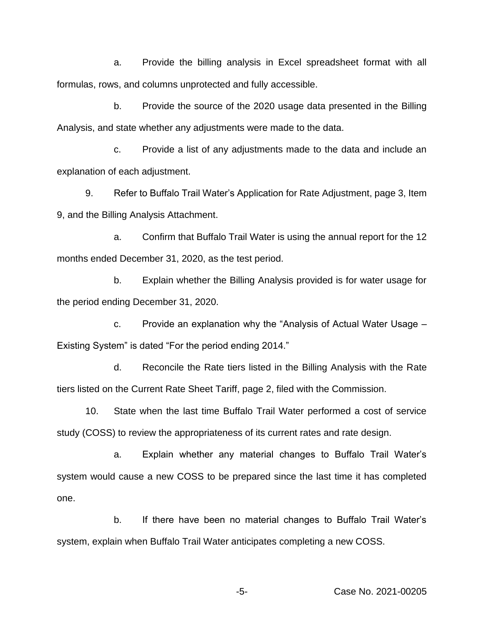a. Provide the billing analysis in Excel spreadsheet format with all formulas, rows, and columns unprotected and fully accessible.

b. Provide the source of the 2020 usage data presented in the Billing Analysis, and state whether any adjustments were made to the data.

c. Provide a list of any adjustments made to the data and include an explanation of each adjustment.

9. Refer to Buffalo Trail Water's Application for Rate Adjustment, page 3, Item 9, and the Billing Analysis Attachment.

a. Confirm that Buffalo Trail Water is using the annual report for the 12 months ended December 31, 2020, as the test period.

b. Explain whether the Billing Analysis provided is for water usage for the period ending December 31, 2020.

c. Provide an explanation why the "Analysis of Actual Water Usage – Existing System" is dated "For the period ending 2014."

d. Reconcile the Rate tiers listed in the Billing Analysis with the Rate tiers listed on the Current Rate Sheet Tariff, page 2, filed with the Commission.

10. State when the last time Buffalo Trail Water performed a cost of service study (COSS) to review the appropriateness of its current rates and rate design.

a. Explain whether any material changes to Buffalo Trail Water's system would cause a new COSS to be prepared since the last time it has completed one.

b. If there have been no material changes to Buffalo Trail Water's system, explain when Buffalo Trail Water anticipates completing a new COSS.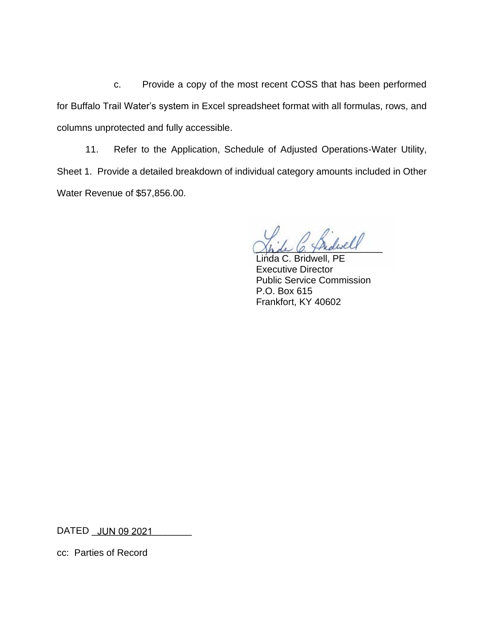c. Provide a copy of the most recent COSS that has been performed for Buffalo Trail Water's system in Excel spreadsheet format with all formulas, rows, and columns unprotected and fully accessible.

11. Refer to the Application, Schedule of Adjusted Operations-Water Utility, Sheet 1. Provide a detailed breakdown of individual category amounts included in Other Water Revenue of \$57,856.00.

Shde C. Thidiself

Linda C. Bridwell, PE Executive Director Public Service Commission P.O. Box 615 Frankfort, KY 40602

DATED \_\_\_\_\_\_\_\_\_\_\_\_\_\_\_\_\_\_\_ JUN 09 2021

cc: Parties of Record